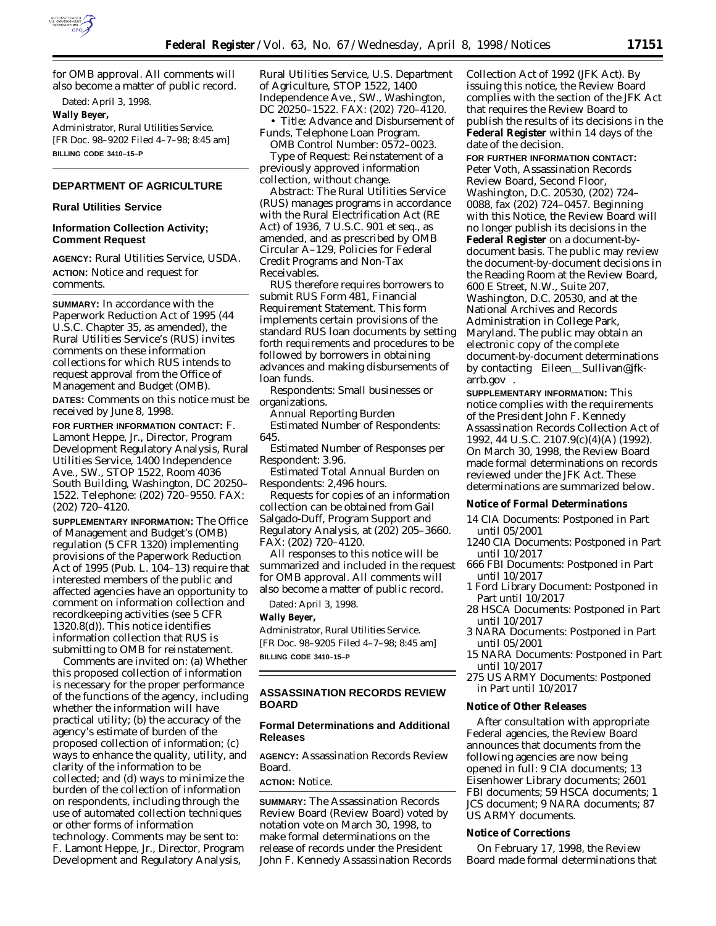

for OMB approval. All comments will also become a matter of public record.

Dated: April 3, 1998.

**Wally Beyer,**

*Administrator, Rural Utilities Service.* [FR Doc. 98–9202 Filed 4–7–98; 8:45 am] **BILLING CODE 3410–15–P**

# **DEPARTMENT OF AGRICULTURE**

#### **Rural Utilities Service**

## **Information Collection Activity; Comment Request**

**AGENCY:** Rural Utilities Service, USDA. **ACTION:** Notice and request for comments.

**SUMMARY:** In accordance with the Paperwork Reduction Act of 1995 (44 U.S.C. Chapter 35, as amended), the Rural Utilities Service's (RUS) invites comments on these information collections for which RUS intends to request approval from the Office of Management and Budget (OMB).

**DATES:** Comments on this notice must be received by June 8, 1998.

**FOR FURTHER INFORMATION CONTACT:** F. Lamont Heppe, Jr., Director, Program Development Regulatory Analysis, Rural Utilities Service, 1400 Independence Ave., SW., STOP 1522, Room 4036 South Building, Washington, DC 20250– 1522. Telephone: (202) 720–9550. FAX: (202) 720–4120.

**SUPPLEMENTARY INFORMATION:** The Office of Management and Budget's (OMB) regulation (5 CFR 1320) implementing provisions of the Paperwork Reduction Act of 1995 (Pub. L. 104–13) require that interested members of the public and affected agencies have an opportunity to comment on information collection and recordkeeping activities (see 5 CFR 1320.8(d)). This notice identifies information collection that RUS is submitting to OMB for reinstatement.

Comments are invited on: (a) Whether this proposed collection of information is necessary for the proper performance of the functions of the agency, including whether the information will have practical utility; (b) the accuracy of the agency's estimate of burden of the proposed collection of information; (c) ways to enhance the quality, utility, and clarity of the information to be collected; and (d) ways to minimize the burden of the collection of information on respondents, including through the use of automated collection techniques or other forms of information technology. Comments may be sent to:

F. Lamont Heppe, Jr., Director, Program Development and Regulatory Analysis,

Rural Utilities Service, U.S. Department of Agriculture, STOP 1522, 1400 Independence Ave., SW., Washington, DC 20250–1522. FAX: (202) 720–4120.

• *Title:* Advance and Disbursement of Funds, Telephone Loan Program.

*OMB Control Number:* 0572–0023. *Type of Request:* Reinstatement of a previously approved information collection, without change.

*Abstract:* The Rural Utilities Service (RUS) manages programs in accordance with the Rural Electrification Act (RE Act) of 1936, 7 U.S.C. 901 *et seq.*, as amended, and as prescribed by OMB Circular A–129, Policies for Federal Credit Programs and Non-Tax Receivables.

RUS therefore requires borrowers to submit RUS Form 481, Financial Requirement Statement. This form implements certain provisions of the standard RUS loan documents by setting forth requirements and procedures to be followed by borrowers in obtaining advances and making disbursements of loan funds.

*Respondents:* Small businesses or organizations.

*Annual Reporting Burden Estimated Number of Respondents:* 645.

*Estimated Number of Responses per Respondent:* 3.96.

*Estimated Total Annual Burden on Respondents:* 2,496 hours.

Requests for copies of an information collection can be obtained from Gail Salgado-Duff, Program Support and Regulatory Analysis, at (202) 205–3660. FAX: (202) 720–4120.

All responses to this notice will be summarized and included in the request for OMB approval. All comments will also become a matter of public record.

Dated: April 3, 1998.

# **Wally Beyer,**

*Administrator, Rural Utilities Service.* [FR Doc. 98–9205 Filed 4–7–98; 8:45 am] **BILLING CODE 3410–15–P**

# **ASSASSINATION RECORDS REVIEW BOARD**

# **Formal Determinations and Additional Releases**

**AGENCY:** Assassination Records Review Board.

## **ACTION:** Notice.

**SUMMARY:** The Assassination Records Review Board (Review Board) voted by notation vote on March 30, 1998, to make formal determinations on the release of records under the President John F. Kennedy Assassination Records Collection Act of 1992 (JFK Act). By issuing this notice, the Review Board complies with the section of the JFK Act that requires the Review Board to publish the results of its decisions in the **Federal Register** within 14 days of the date of the decision.

**FOR FURTHER INFORMATION CONTACT:** Peter Voth, Assassination Records Review Board, Second Floor, Washington, D.C. 20530, (202) 724– 0088, fax (202) 724–0457. Beginning with this Notice, the Review Board will no longer publish its decisions in the **Federal Register** on a document-bydocument basis. The public may review the document-by-document decisions in the Reading Room at the Review Board, 600 E Street, N.W., Suite 207, Washington, D.C. 20530, and at the National Archives and Records Administration in College Park, Maryland. The public may obtain an electronic copy of the complete document-by-document determinations by contacting  $\langle$ Eileen\_Sullivan@jfkarrb.gov〉〉.

**SUPPLEMENTARY INFORMATION:** This notice complies with the requirements of the President John F. Kennedy Assassination Records Collection Act of 1992, 44 U.S.C. 2107.9(c)(4)(A) (1992). On March 30, 1998, the Review Board made formal determinations on records reviewed under the JFK Act. These determinations are summarized below.

#### **Notice of Formal Determinations**

- 14 CIA Documents: Postponed in Part until 05/2001
- 1240 CIA Documents: Postponed in Part until 10/2017
- 666 FBI Documents: Postponed in Part until 10/2017
- 1 Ford Library Document: Postponed in Part until 10/2017
- 28 HSCA Documents: Postponed in Part until 10/2017
- 3 NARA Documents: Postponed in Part until 05/2001
- 15 NARA Documents: Postponed in Part until 10/2017
- 275 US ARMY Documents: Postponed in Part until 10/2017

#### **Notice of Other Releases**

After consultation with appropriate Federal agencies, the Review Board announces that documents from the following agencies are now being opened in full: 9 CIA documents; 13 Eisenhower Library documents; 2601 FBI documents; 59 HSCA documents; 1 JCS document; 9 NARA documents; 87 US ARMY documents.

### **Notice of Corrections**

On February 17, 1998, the Review Board made formal determinations that